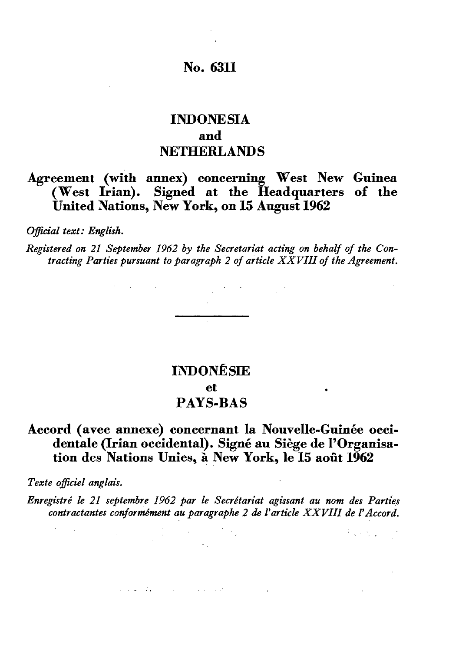## **No. 6311**

# **INDONESIA and NETHERLANDS**

## **Agreement (with annex) concerning West New Guinea (West Irian). Signed at the Headquarters of the United Nations, New York, on 15 August 1962**

*Official text: English.*

 $\mathcal{O}(10^{11} \log \log n)$  ,  $\mathcal{O}(10^{11} \log n)$ 

*Registered on 21 September 1962 by the Secretariat acting on behalf of the Con tracting Parties pursuant to paragraph 2 of article XXVIII of the Agreement.*

 $\mathcal{A}=\mathcal{A}$  , where  $\mathcal{A}=\{1,2,3,4,5\}$ 

 $\bullet$ 

Partia Cy

# **INDONÉSIE et PAYS-BAS**

## **Accord (avec annexe) concernant la Nouvelle-Guinée occi dentale (Irian occidental). Signé au Siège de l'Organisa tion des Nations Unies, à New York, le 15 août 1962**

*Texte officiel anglais.*

 $\mathcal{H}(\mathcal{A})$  and  $\mathcal{H}(\mathcal{A})$ 

*Enregistré le 21 septembre 1962 par le Secrétariat agissant au nom des Parties* contractantes conformément au paragraphe 2 de l'article XXVIII de l'Accord.

 $\sim$   $_{\star}$ 

 $\mathcal{A}$  , and  $\mathcal{A}$  is a sequence of the sequence of the sequence of  $\mathcal{A}$  ,  $\mathcal{A}$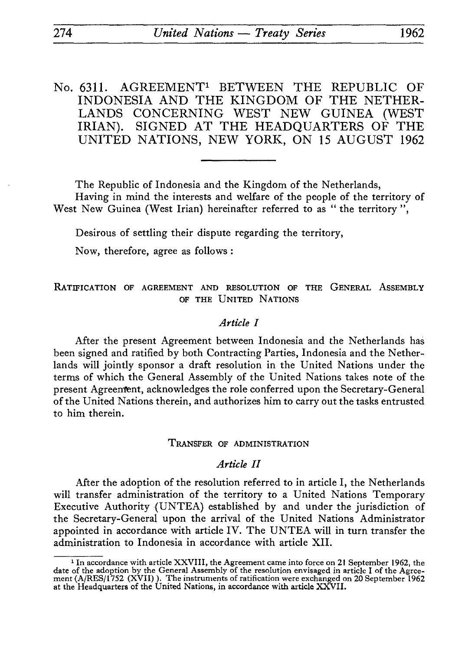No. 6311. AGREEMENT1 BETWEEN THE REPUBLIC OF INDONESIA AND THE KINGDOM OF THE NETHER LANDS CONCERNING WEST NEW GUINEA (WEST IRIAN). SIGNED AT THE HEADQUARTERS OF THE UNITED NATIONS, NEW YORK, ON 15 AUGUST 1962

The Republic of Indonesia and the Kingdom of the Netherlands,

Having in mind the interests and welfare of the people of the territory of West New Guinea (West Irian) hereinafter referred to as " the territory",

Desirous of settling their dispute regarding the territory,

Now, therefore, agree as follows :

### RATIFICATION OF AGREEMENT AND RESOLUTION OF THE GENERAL ASSEMBLY OF THE UNITED NATIONS

#### *Article I*

After the present Agreement between Indonesia and the Netherlands has been signed and ratified by both Contracting Parties, Indonesia and the Nether lands will jointly sponsor a draft resolution in the United Nations under the terms of which the General Assembly of the United Nations takes note of the present Agreement, acknowledges the role conferred upon the Secretary-General of the United Nations therein, and authorizes him to carry out the tasks entrusted to him therein.

#### TRANSFER OF ADMINISTRATION

### *Article II*

After the adoption of the resolution referred to in article I, the Netherlands will transfer administration of the territory to a United Nations Temporary Executive Authority (UNTEA) established by and under the jurisdiction of the Secretary-General upon the arrival of the United Nations Administrator appointed in accordance with article IV. The UNTEA will in turn transfer the administration to Indonesia in accordance with article XII.

<sup>&</sup>lt;sup>1</sup> In accordance with article XXVIII, the Agreement came into force on 21 September 1962, the date of the adoption by the General Assembly of the resolution envisaged in article I of the Agreement (A/RES/1752 (XVII)). The at the Headquarters of the United Nations, in accordance with article XXVII.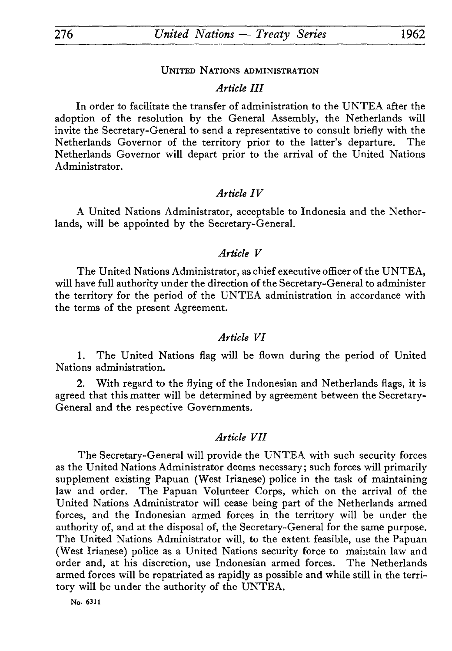#### UNITED NATIONS ADMINISTRATION

### *Article III*

In order to facilitate the transfer of administration to the UNTEA after the adoption of the resolution by the General Assembly, the Netherlands will invite the Secretary-General to send a representative to consult briefly with the Netherlands Governor of the territory prior to the latter's departure. The Netherlands Governor will depart prior to the arrival of the United Nations Administrator.

### *Article IV*

A United Nations Administrator, acceptable to Indonesia and the Nether lands, will be appointed by the Secretary-General.

#### *Article V*

The United Nations Administrator, as chief executive officer of the UNTEA, will have full authority under the direction of the Secretary-General to administer the territory for the period of the UNTEA administration in accordance with the terms of the present Agreement.

#### *Article VI*

1. The United Nations flag will be flown during the period of United Nations administration.

2. With regard to the flying of the Indonesian and Netherlands flags, it is agreed that this matter will be determined by agreement between the Secretary-General and the respective Governments.

### *Article VII*

The Secretary-General will provide the UNTEA with such security forces as the United Nations Administrator deems necessary ; such forces will primarily supplement existing Papuan (West Irianese) police in the task of maintaining law and order. The Papuan Volunteer Corps, which on the arrival of the United Nations Administrator will cease being part of the Netherlands armed forces, and the Indonesian armed forces in the territory will be under the authority of, and at the disposal of, the Secretary-General for the same purpose. The United Nations Administrator will, to the extent feasible, use the Papuan (West Irianese) police as a United Nations security force to maintain law and order and, at his discretion, use Indonesian armed forces. The Netherlands armed forces will be repatriated as rapidly as possible and while still in the terri tory will be under the authority of the UNTEA.

**No- 6311**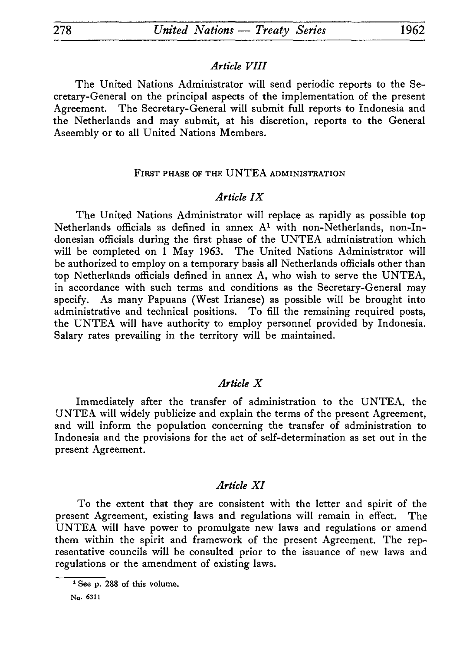### *Article VIII*

The United Nations Administrator will send periodic reports to the Se cretary-General on the principal aspects of the implementation of the present Agreement. The Secretary-General will submit full reports to Indonesia and the Netherlands and may submit, at his discretion, reports to the General Aseembly or to all United Nations Members.

#### FIRST PHASE OF THE UNTEA ADMINISTRATION

#### *Article IX*

The United Nations Administrator will replace as rapidly as possible top Netherlands officials as defined in annex A<sup>1</sup> with non-Netherlands, non-Indonesian officials during the first phase of the UNTEA administration which will be completed on 1 May 1963. The United Nations Administrator will be authorized to employ on a temporary basis all Netherlands officials other than top Netherlands officials defined in annex A, who wish to serve the UNTEA, in accordance with such terms and conditions as the Secretary-General may specify. As many Papuans (West Irianese) as possible will be brought into administrative and technical positions. To fill the remaining required posts, the UNTEA will have authority to employ personnel provided by Indonesia. Salary rates prevailing in the territory will be maintained.

### *Article X*

Immediately after the transfer of administration to the UNTEA, the UNTEA will widely publicize and explain the terms of the present Agreement, and will inform the population concerning the transfer of administration to Indonesia and the provisions for the act of self-determination as set out in the present Agreement.

#### *Article XI*

To the extent that they are consistent with the letter and spirit of the present Agreement, existing laws and regulations will remain in effect. The UNTEA will have power to promulgate new laws and regulations or amend them within the spirit and framework of the present Agreement. The rep resentative councils will be consulted prior to the issuance of new laws and regulations or the amendment of existing laws.

N0. 6311

<sup>1</sup> See p. 288 of this volume.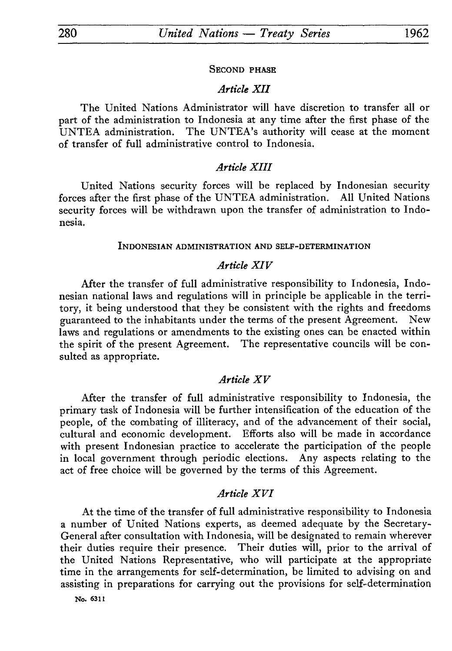### SECOND PHASE

### *Article XII*

The United Nations Administrator will have discretion to transfer all or part of the administration to Indonesia at any time after the first phase of the UNTEA administration. The UNTEA's authority will cease at the moment The UNTEA's authority will cease at the moment of transfer of full administrative control to Indonesia.

### *Article XIII*

United Nations security forces will be replaced by Indonesian security forces after the first phase of the UNTEA administration. All United Nations security forces will be withdrawn upon the transfer of administration to Indonesia.

#### INDONESIAN ADMINISTRATION AND SELF-DETERMINATION

#### *Article XIV*

After the transfer of full administrative responsibility to Indonesia, Indo nesian national laws and regulations will in principle be applicable in the terri tory, it being understood that they be consistent with the rights and freedoms<br>guaranteed to the inhabitants under the terms of the present Agreement. New guaranteed to the inhabitants under the terms of the present Agreement. laws and regulations or amendments to the existing ones can be enacted within the spirit of the present Agreement. The representative councils will be con sulted as appropriate.

### *Article XV*

After the transfer of full administrative responsibility to Indonesia, the primary task of Indonesia will be further intensification of the education of the people, of the combating of illiteracy, and of the advancement of their social, cultural and economic development. Efforts also will be made in accordance with present Indonesian practice to accelerate the participation of the people in local government through periodic elections. Any aspects relating to the act of free choice will be governed by the terms of this Agreement.

### *Article XVI*

At the time of the transfer of full administrative responsibility to Indonesia a number of United Nations experts, as deemed adequate by the Secretary-General after consultation with Indonesia, will be designated to remain wherever their duties require their presence. Their duties will, prior to the arrival of the United Nations Representative, who will participate at the appropriate time in the arrangements for self-determination, be limited to advising on and assisting in preparations for carrying out the provisions for self-determination

**No. 6311**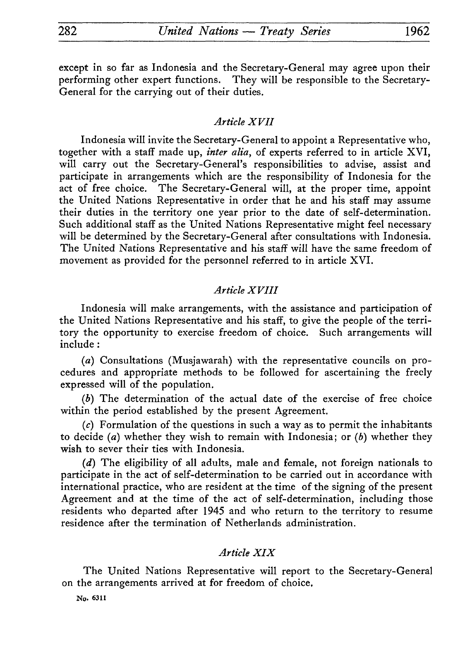except in so far as Indonesia and the Secretary-General may agree upon their performing other expert functions. They will be responsible to the Secretary-General for the carrying out of their duties.

### *Article XVII*

Indonesia will invite the Secretary-General to appoint a Representative who, together with a staff made up, *inter alia,* of experts referred to in article XVI, will carry out the Secretary-General's responsibilities to advise, assist and participate in arrangements which are the responsibility of Indonesia for the act of free choice. The Secretary-General will, at the proper time, appoint The Secretary-General will, at the proper time, appoint the United Nations Representative in order that he and his staff may assume their duties in the territory one year prior to the date of self-determination. Such additional staff as the United Nations Representative might feel necessary will be determined by the Secretary-General after consultations with Indonesia. The United Nations Representative and his staff will have the same freedom of movement as provided for the personnel referred to in article XVI.

### *Article XVIII*

Indonesia will make arrangements, with the assistance and participation of the United Nations Representative and his staff, to give the people of the terri tory the opportunity to exercise freedom of choice. Such arrangements will include :

(a) Consultations (Musjawarah) with the representative councils on pro cedures and appropriate methods to be followed for ascertaining the freely expressed will of the population.

*(b)* The determination of the actual date of the exercise of free choice within the period established by the present Agreement.

*(c)* Formulation of the questions in such a way as to permit the inhabitants to decide (a) whether they wish to remain with Indonesia; or (b) whether they wish to sever their ties with Indonesia.

*(d)* The eligibility of all adults, male and female, not foreign nationals to participate in the act of self-determination to be carried out in accordance with international practice, who are resident at the time of the signing of the present Agreement and at the time of the act of self-determination, including those residents who departed after 1945 and who return to the territory to resume residence after the termination of Netherlands administration.

#### *Article XIX*

The United Nations Representative will report to the Secretary-General on the arrangements arrived at for freedom of choice,

**No- 6311**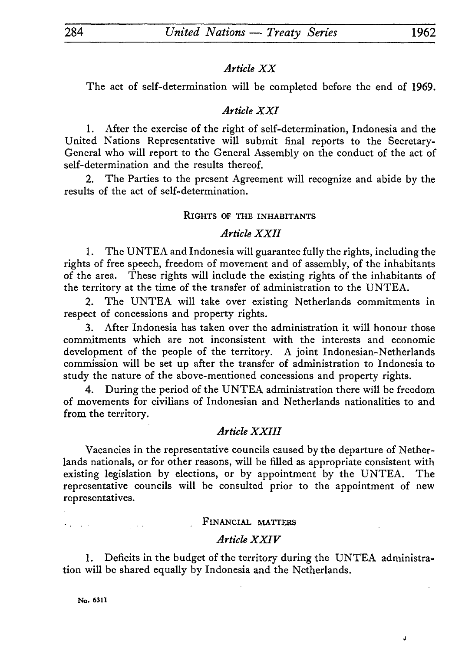### *Article XX*

The act of self-determination will be completed before the end of 1969.

### *Article XXI*

1. After the exercise of the right of self-determination, Indonesia and the United Nations Representative will submit final reports to the Secretary-General who will report to the General Assembly on the conduct of the act of self-determination and the results thereof.

2. The Parties to the present Agreement will recognize and abide by the results of the act of self-determination.

#### RIGHTS OF THE INHABITANTS

### *Article XXII*

1. The UNTEA and Indonesia will guarantee fully the rights, including the rights of free speech, freedom of movement and of assembly, of the inhabitants of the area. These rights will include the existing rights of the inhabitants of the territory at the time of the transfer of administration to the UNTEA.

2. The UNTEA will take over existing Netherlands commitments in respect of concessions and property rights.

3. After Indonesia has taken over the administration it will honour those commitments which are not inconsistent with the interests and economic development of the people of the territory. A joint Indonesian-Netherlands commission will be set up after the transfer of administration to Indonesia to study the nature of the above-mentioned concessions and property rights.

4. During the period of the UNTEA administration there will be freedom of movements for civilians of Indonesian and Netherlands nationalities to and from the territory.

### *Article XXIII*

Vacancies in the representative councils caused by the departure of Nether lands nationals, or for other reasons, will be filled as appropriate consistent with existing legislation by elections, or by appointment by the UNTEA. The representative councils will be consulted prior to the appointment of new representatives.

#### FINANCIAL MATTERS

### *Article XXIV*

Deficits in the budget of the territory during the UNTEA administration will be shared equally by Indonesia and the Netherlands.

J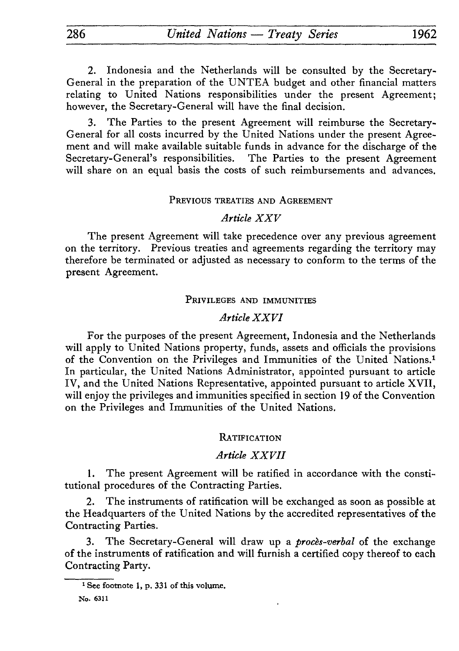2. Indonesia and the Netherlands will be consulted by the Secretary-General in the preparation of the UNTEA budget and other financial matters relating to United Nations responsibilities under the present Agreement; however, the Secretary-General will have the final decision.

3. The Parties to the present Agreement will reimburse the Secretary-General for all costs incurred by the United Nations under the present Agree ment and will make available suitable funds in advance for the discharge of the Secretary-General's responsibilities. The Parties to the present Agreement will share on an equal basis the costs of such reimbursements and advances.

#### PREVIOUS TREATIES AND AGREEMENT

#### *Article XXV*

The present Agreement will take precedence over any previous agreement on the territory. Previous treaties and agreements regarding the territory may therefore be terminated or adjusted as necessary to conform to the terms of the present Agreement.

#### PRIVILEGES AND IMMUNITIES

### *Article XXVI*

For the purposes of the present Agreement, Indonesia and the Netherlands will apply to United Nations property, funds, assets and officials the provisions of the Convention on the Privileges and Immunities of the United Nations.1 In particular, the United Nations Administrator, appointed pursuant to article IV, and the United Nations Representative, appointed pursuant to article XVII, will enjoy the privileges and immunities specified in section 19 of the Convention on the Privileges and Immunities of the United Nations.

#### **RATIFICATION**

#### *Article XXVII*

1. The present Agreement will be ratified in accordance with the consti tutional procedures of the Contracting Parties.

2. The instruments of ratification will be exchanged as soon as possible at the Headquarters of the United Nations by the accredited representatives of the Contracting Parties.

3. The Secretary-General will draw up a *procès-verbal* of the exchange of the instruments of ratification and will furnish a certified copy thereof to each Contracting Party.

<sup>&</sup>lt;sup>1</sup> See footnote 1, p. 331 of this volume.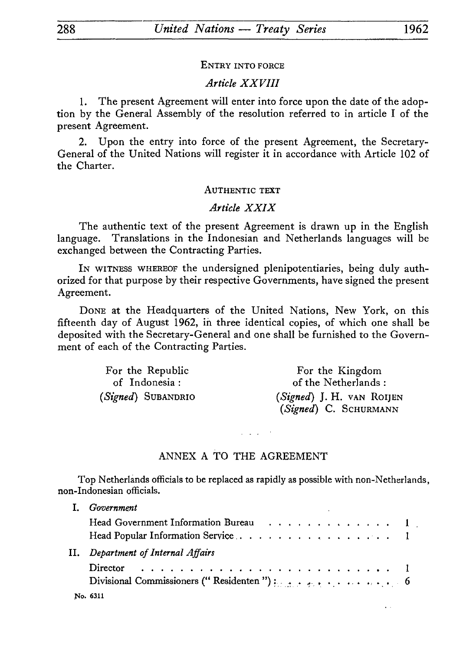#### ENTRY INTO FORCE

### *Article XXVIII*

The present Agreement will enter into force upon the date of the adoption by the General Assembly of the resolution referred to in article I of the present Agreement.

2. Upon the entry into force of the present Agreement, the Secretary-General of the United Nations will register it in accordance with Article 102 of the Charter.

#### AUTHENTIC TEXT

#### *Article XXIX*

The authentic text of the present Agreement is drawn up in the English language. Translations in the Indonesian and Netherlands languages will be exchanged between the Contracting Parties.

IN WITNESS WHEREOF the undersigned plenipotentiaries, being duly authorized for that purpose by their respective Governments, have signed the present Agreement.

DONE at the Headquarters of the United Nations, New York, on this fifteenth day of August 1962, in three identical copies, of which one shall be deposited with the Secretary-General and one shall be furnished to the Govern ment of each of the Contracting Parties.

| For the Republic   | For the Kingdom           |
|--------------------|---------------------------|
| of Indonesia:      | of the Netherlands:       |
| (Signed) SUBANDRIO | (Signed) J. H. VAN ROIJEN |
|                    | (Signed) C. SCHURMANN     |

### ANNEX A TO THE AGREEMENT

Top Netherlands officials to be replaced as rapidly as possible with non-Netherlands, non-Indonesian officials.

|    | Government                                                                                                                                                                                         |
|----|----------------------------------------------------------------------------------------------------------------------------------------------------------------------------------------------------|
|    | Head Government Information Bureau 1<br>Head Popular Information Service 1                                                                                                                         |
| П. | Department of Internal Affairs<br>Director $\ldots \ldots \ldots \ldots \ldots \ldots \ldots \ldots \ldots \ldots$<br>Divisional Commissioners ("Residenten"): $\cdots$ $\cdots$ $\cdots$ $\cdots$ |
|    | No. 6311                                                                                                                                                                                           |